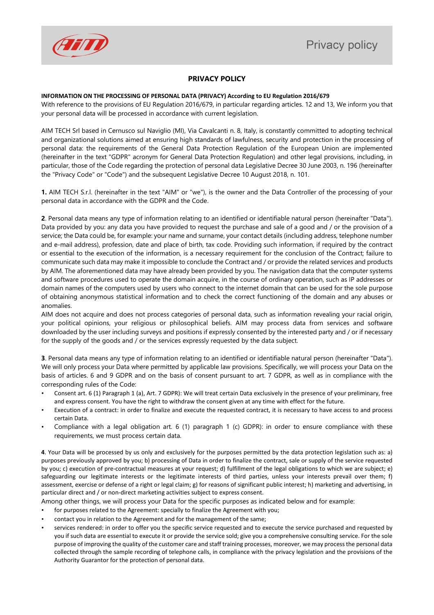## **PRIVACY POLICY**

## **INFORMATION ON THE PROCESSING OF PERSONAL DATA (PRIVACY) According to EU Regulation 2016/679**

With reference to the provisions of EU Regulation 2016/679, in particular regarding articles. 12 and 13, We inform you that your personal data will be processed in accordance with current legislation.

AIM TECH Srl based in Cernusco sul Naviglio (MI), Via Cavalcanti n. 8, Italy, is constantly committed to adopting technical and organizational solutions aimed at ensuring high standards of lawfulness, security and protection in the processing of personal data: the requirements of the General Data Protection Regulation of the European Union are implemented (hereinafter in the text "GDPR" acronym for General Data Protection Regulation) and other legal provisions, including, in particular, those of the Code regarding the protection of personal data Legislative Decree 30 June 2003, n. 196 (hereinafter the "Privacy Code" or "Code") and the subsequent Legislative Decree 10 August 2018, n. 101.

**1.** AIM TECH S.r.l. (hereinafter in the text "AIM" or "we"), is the owner and the Data Controller of the processing of your personal data in accordance with the GDPR and the Code.

**2**. Personal data means any type of information relating to an identified or identifiable natural person (hereinafter "Data"). Data provided by you: any data you have provided to request the purchase and sale of a good and / or the provision of a service; the Data could be, for example: your name and surname, your contact details (including address, telephone number and e-mail address), profession, date and place of birth, tax code. Providing such information, if required by the contract or essential to the execution of the information, is a necessary requirement for the conclusion of the Contract; failure to communicate such data may make it impossible to conclude the Contract and / or provide the related services and products by AIM. The aforementioned data may have already been provided by you. The navigation data that the computer systems and software procedures used to operate the domain acquire, in the course of ordinary operation, such as IP addresses or domain names of the computers used by users who connect to the internet domain that can be used for the sole purpose of obtaining anonymous statistical information and to check the correct functioning of the domain and any abuses or anomalies.

AIM does not acquire and does not process categories of personal data, such as information revealing your racial origin, your political opinions, your religious or philosophical beliefs. AIM may process data from services and software downloaded by the user including surveys and positions if expressly consented by the interested party and / or if necessary for the supply of the goods and / or the services expressly requested by the data subject.

**3**. Personal data means any type of information relating to an identified or identifiable natural person (hereinafter "Data"). We will only process your Data where permitted by applicable law provisions. Specifically, we will process your Data on the basis of articles. 6 and 9 GDPR and on the basis of consent pursuant to art. 7 GDPR, as well as in compliance with the corresponding rules of the Code:

- Consent art. 6 (1) Paragraph 1 (a), Art. 7 GDPR): We will treat certain Data exclusively in the presence of your preliminary, free and express consent. You have the right to withdraw the consent given at any time with effect for the future.
- Execution of a contract: in order to finalize and execute the requested contract, it is necessary to have access to and process certain Data.
- Compliance with a legal obligation art. 6 (1) paragraph 1 (c) GDPR): in order to ensure compliance with these requirements, we must process certain data.

**4**. Your Data will be processed by us only and exclusively for the purposes permitted by the data protection legislation such as: a) purposes previously approved by you; b) processing of Data in order to finalize the contract, sale or supply of the service requested by you; c) execution of pre-contractual measures at your request; d) fulfillment of the legal obligations to which we are subject; e) safeguarding our legitimate interests or the legitimate interests of third parties, unless your interests prevail over them; f) assessment, exercise or defense of a right or legal claim; g) for reasons of significant public interest; h) marketing and advertising, in particular direct and / or non-direct marketing activities subject to express consent.

Among other things, we will process your Data for the specific purposes as indicated below and for example:

- for purposes related to the Agreement: specially to finalize the Agreement with you;
- contact you in relation to the Agreement and for the management of the same;
- services rendered: in order to offer you the specific service requested and to execute the service purchased and requested by you if such data are essential to execute it or provide the service sold; give you a comprehensive consulting service. For the sole purpose of improving the quality of the customer care and staff training processes, moreover, we may process the personal data collected through the sample recording of telephone calls, in compliance with the privacy legislation and the provisions of the Authority Guarantor for the protection of personal data.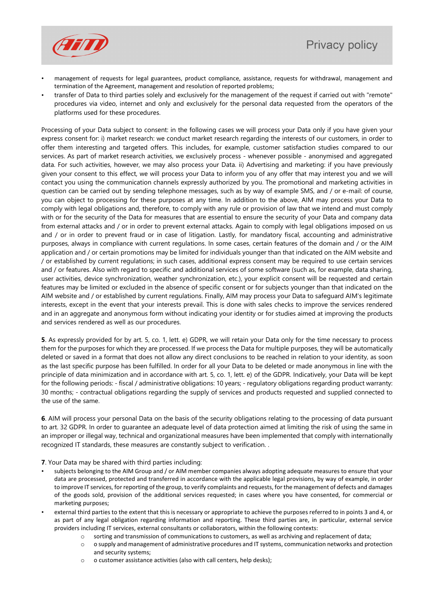

- management of requests for legal guarantees, product compliance, assistance, requests for withdrawal, management and termination of the Agreement, management and resolution of reported problems;
- transfer of Data to third parties solely and exclusively for the management of the request if carried out with "remote" procedures via video, internet and only and exclusively for the personal data requested from the operators of the platforms used for these procedures.

Processing of your Data subject to consent: in the following cases we will process your Data only if you have given your express consent for: i) market research: we conduct market research regarding the interests of our customers, in order to offer them interesting and targeted offers. This includes, for example, customer satisfaction studies compared to our services. As part of market research activities, we exclusively process - whenever possible - anonymised and aggregated data. For such activities, however, we may also process your Data. ii) Advertising and marketing: if you have previously given your consent to this effect, we will process your Data to inform you of any offer that may interest you and we will contact you using the communication channels expressly authorized by you. The promotional and marketing activities in question can be carried out by sending telephone messages, such as by way of example SMS, and / or e-mail: of course, you can object to processing for these purposes at any time. In addition to the above, AIM may process your Data to comply with legal obligations and, therefore, to comply with any rule or provision of law that we intend and must comply with or for the security of the Data for measures that are essential to ensure the security of your Data and company data from external attacks and / or in order to prevent external attacks. Again to comply with legal obligations imposed on us and / or in order to prevent fraud or in case of litigation. Lastly, for mandatory fiscal, accounting and administrative purposes, always in compliance with current regulations. In some cases, certain features of the domain and / or the AIM application and / or certain promotions may be limited for individuals younger than that indicated on the AIM website and / or established by current regulations; in such cases, additional express consent may be required to use certain services and / or features. Also with regard to specific and additional services of some software (such as, for example, data sharing, user activities, device synchronization, weather synchronization, etc.), your explicit consent will be requested and certain features may be limited or excluded in the absence of specific consent or for subjects younger than that indicated on the AIM website and / or established by current regulations. Finally, AIM may process your Data to safeguard AIM's legitimate interests, except in the event that your interests prevail. This is done with sales checks to improve the services rendered and in an aggregate and anonymous form without indicating your identity or for studies aimed at improving the products and services rendered as well as our procedures.

**5**. As expressly provided for by art. 5, co. 1, lett. e) GDPR, we will retain your Data only for the time necessary to process them for the purposes for which they are processed. If we process the Data for multiple purposes, they will be automatically deleted or saved in a format that does not allow any direct conclusions to be reached in relation to your identity, as soon as the last specific purpose has been fulfilled. In order for all your Data to be deleted or made anonymous in line with the principle of data minimization and in accordance with art. 5, co. 1, lett. e) of the GDPR. Indicatively, your Data will be kept for the following periods: - fiscal / administrative obligations: 10 years; - regulatory obligations regarding product warranty: 30 months; - contractual obligations regarding the supply of services and products requested and supplied connected to the use of the same.

**6**. AIM will process your personal Data on the basis of the security obligations relating to the processing of data pursuant to art. 32 GDPR. In order to guarantee an adequate level of data protection aimed at limiting the risk of using the same in an improper or illegal way, technical and organizational measures have been implemented that comply with internationally recognized IT standards, these measures are constantly subject to verification. .

**7**. Your Data may be shared with third parties including:

- subjects belonging to the AIM Group and / or AIM member companies always adopting adequate measures to ensure that your data are processed, protected and transferred in accordance with the applicable legal provisions, by way of example, in order to improve IT services, for reporting of the group, to verify complaints and requests, for the management of defects and damages of the goods sold, provision of the additional services requested; in cases where you have consented, for commercial or marketing purposes;
- external third parties to the extent that this is necessary or appropriate to achieve the purposes referred to in points 3 and 4, or as part of any legal obligation regarding information and reporting. These third parties are, in particular, external service providers including IT services, external consultants or collaborators, within the following contexts:
	- o sorting and transmission of communications to customers, as well as archiving and replacement of data;
	- o o supply and management of administrative procedures and IT systems, communication networks and protection and security systems;
	- o o customer assistance activities (also with call centers, help desks);